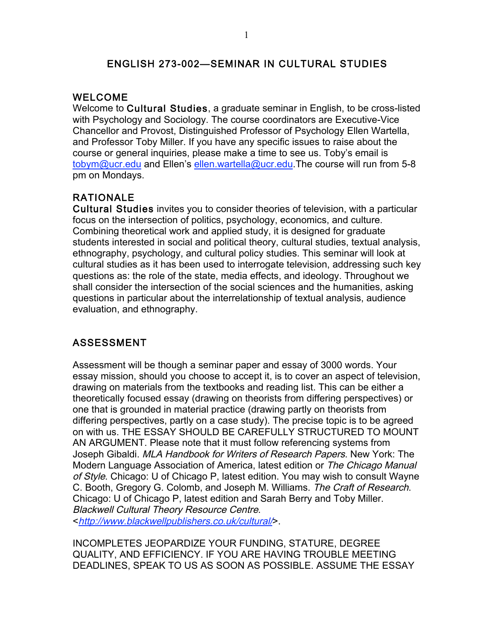### ENGLISH 273-002—SEMINAR IN CULTURAL STUDIES

#### WELCOME

Welcome to Cultural Studies, a graduate seminar in English, to be cross-listed with Psychology and Sociology. The course coordinators are Executive-Vice Chancellor and Provost, Distinguished Professor of Psychology Ellen Wartella, and Professor Toby Miller. If you have any specific issues to raise about the course or general inquiries, please make a time to see us. Toby's email is tobym@ucr.edu and Ellen's ellen.wartella@ucr.edu.The course will run from 5-8 pm on Mondays.

# RATIONALE

Cultural Studies invites you to consider theories of television, with a particular focus on the intersection of politics, psychology, economics, and culture. Combining theoretical work and applied study, it is designed for graduate students interested in social and political theory, cultural studies, textual analysis, ethnography, psychology, and cultural policy studies. This seminar will look at cultural studies as it has been used to interrogate television, addressing such key questions as: the role of the state, media effects, and ideology. Throughout we shall consider the intersection of the social sciences and the humanities, asking questions in particular about the interrelationship of textual analysis, audience evaluation, and ethnography.

# ASSESSMENT

Assessment will be though a seminar paper and essay of 3000 words. Your essay mission, should you choose to accept it, is to cover an aspect of television, drawing on materials from the textbooks and reading list. This can be either a theoretically focused essay (drawing on theorists from differing perspectives) or one that is grounded in material practice (drawing partly on theorists from differing perspectives, partly on a case study). The precise topic is to be agreed on with us. THE ESSAY SHOULD BE CAREFULLY STRUCTURED TO MOUNT AN ARGUMENT. Please note that it must follow referencing systems from Joseph Gibaldi. MLA Handbook for Writers of Research Papers. New York: The Modern Language Association of America, latest edition or The Chicago Manual of Style. Chicago: U of Chicago P, latest edition. You may wish to consult Wayne C. Booth, Gregory G. Colomb, and Joseph M. Williams. The Craft of Research. Chicago: U of Chicago P, latest edition and Sarah Berry and Toby Miller. Blackwell Cultural Theory Resource Centre. <http://www.blackwellpublishers.co.uk/cultural/>.

INCOMPLETES JEOPARDIZE YOUR FUNDING, STATURE, DEGREE QUALITY, AND EFFICIENCY. IF YOU ARE HAVING TROUBLE MEETING DEADLINES, SPEAK TO US AS SOON AS POSSIBLE. ASSUME THE ESSAY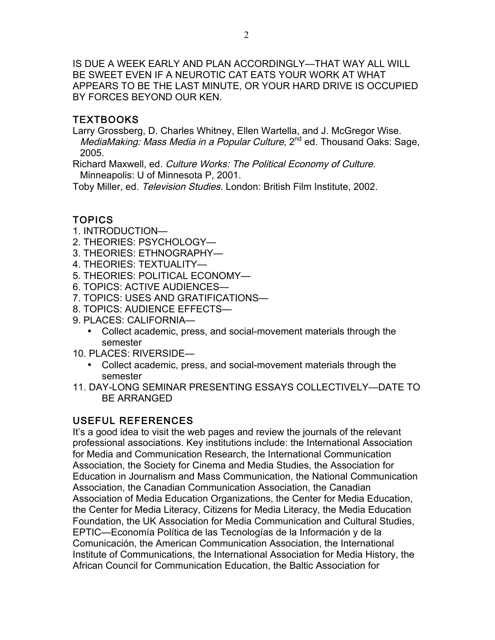IS DUE A WEEK EARLY AND PLAN ACCORDINGLY—THAT WAY ALL WILL BE SWEET EVEN IF A NEUROTIC CAT EATS YOUR WORK AT WHAT APPEARS TO BE THE LAST MINUTE, OR YOUR HARD DRIVE IS OCCUPIED BY FORCES BEYOND OUR KEN.

## TEXTBOOKS

Larry Grossberg, D. Charles Whitney, Ellen Wartella, and J. McGregor Wise. MediaMaking: Mass Media in a Popular Culture, 2<sup>nd</sup> ed. Thousand Oaks: Sage, 2005.

Richard Maxwell, ed. Culture Works: The Political Economy of Culture. Minneapolis: U of Minnesota P, 2001.

Toby Miller, ed. Television Studies. London: British Film Institute, 2002.

# TOPICS

- 1. INTRODUCTION—
- 2. THEORIES: PSYCHOLOGY—
- 3. THEORIES: ETHNOGRAPHY—
- 4. THEORIES: TEXTUALITY—
- 5. THEORIES: POLITICAL ECONOMY—
- 6. TOPICS: ACTIVE AUDIENCES—
- 7. TOPICS: USES AND GRATIFICATIONS—
- 8. TOPICS: AUDIENCE EFFECTS—
- 9. PLACES: CALIFORNIA—
	- Collect academic, press, and social-movement materials through the semester
- 10. PLACES: RIVERSIDE—
	- Collect academic, press, and social-movement materials through the semester
- 11. DAY-LONG SEMINAR PRESENTING ESSAYS COLLECTIVELY—DATE TO BE ARRANGED

# USEFUL REFERENCES

It's a good idea to visit the web pages and review the journals of the relevant professional associations. Key institutions include: the International Association for Media and Communication Research, the International Communication Association, the Society for Cinema and Media Studies, the Association for Education in Journalism and Mass Communication, the National Communication Association, the Canadian Communication Association, the Canadian Association of Media Education Organizations, the Center for Media Education, the Center for Media Literacy, Citizens for Media Literacy, the Media Education Foundation, the UK Association for Media Communication and Cultural Studies, EPTIC—Economía Política de las Tecnologías de la Información y de la Comunicación, the American Communication Association, the International Institute of Communications, the International Association for Media History, the African Council for Communication Education, the Baltic Association for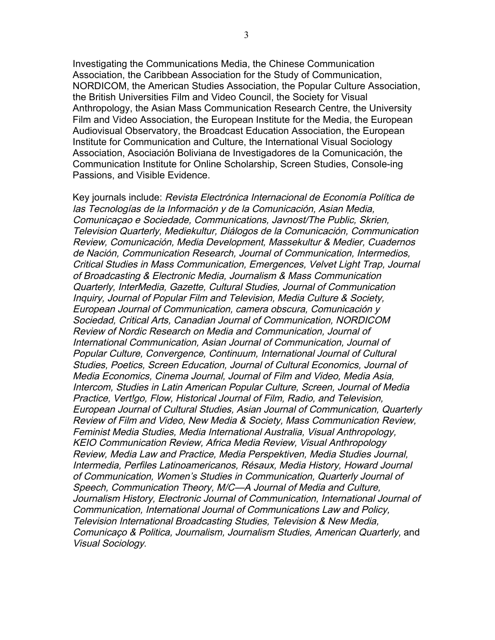Investigating the Communications Media, the Chinese Communication Association, the Caribbean Association for the Study of Communication, NORDICOM, the American Studies Association, the Popular Culture Association, the British Universities Film and Video Council, the Society for Visual Anthropology, the Asian Mass Communication Research Centre, the University Film and Video Association, the European Institute for the Media, the European Audiovisual Observatory, the Broadcast Education Association, the European Institute for Communication and Culture, the International Visual Sociology Association, Asociación Boliviana de Investigadores de la Comunicación, the Communication Institute for Online Scholarship, Screen Studies, Console-ing Passions, and Visible Evidence.

Key journals include: Revista Electrónica Internacional de Economía Política de las Tecnologías de la Información y de la Comunicación, Asian Media, Comunicaçao e Sociedade, Communications, Javnost/The Public, Skrien, Television Quarterly, Mediekultur, Diálogos de la Comunicación, Communication Review, Comunicación, Media Development, Massekultur & Medier, Cuadernos de Nación, Communication Research, Journal of Communication, Intermedios, Critical Studies in Mass Communication, Emergences, Velvet Light Trap, Journal of Broadcasting & Electronic Media, Journalism & Mass Communication Quarterly, InterMedia, Gazette, Cultural Studies, Journal of Communication Inquiry, Journal of Popular Film and Television, Media Culture & Society, European Journal of Communication, camera obscura, Comunicación y Sociedad, Critical Arts, Canadian Journal of Communication, NORDICOM Review of Nordic Research on Media and Communication, Journal of International Communication, Asian Journal of Communication, Journal of Popular Culture, Convergence, Continuum, International Journal of Cultural Studies, Poetics, Screen Education, Journal of Cultural Economics, Journal of Media Economics, Cinema Journal, Journal of Film and Video, Media Asia, Intercom, Studies in Latin American Popular Culture, Screen, Journal of Media Practice, Vert!go, Flow, Historical Journal of Film, Radio, and Television, European Journal of Cultural Studies, Asian Journal of Communication, Quarterly Review of Film and Video, New Media & Society, Mass Communication Review, Feminist Media Studies, Media International Australia, Visual Anthropology, KEIO Communication Review, Africa Media Review, Visual Anthropology Review, Media Law and Practice, Media Perspektiven, Media Studies Journal, Intermedia, Perfiles Latinoamericanos, Résaux, Media History, Howard Journal of Communication, Women's Studies in Communication, Quarterly Journal of Speech, Communication Theory, M/C—A Journal of Media and Culture, Journalism History, Electronic Journal of Communication, International Journal of Communication, International Journal of Communications Law and Policy, Television International Broadcasting Studies, Television & New Media, Comunicaço & Politica, Journalism, Journalism Studies, American Quarterly, and Visual Sociology.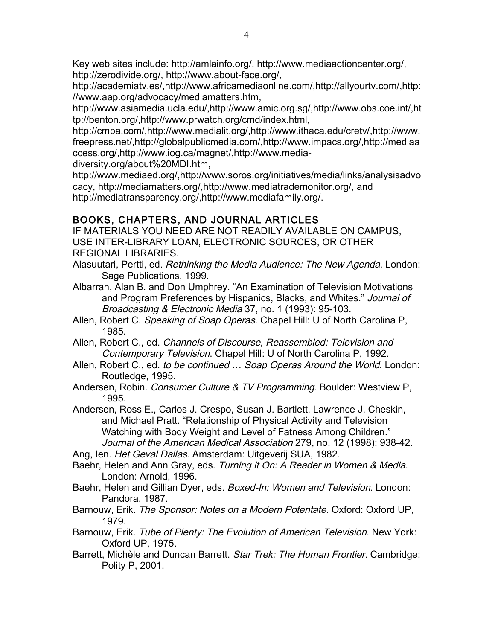Key web sites include: http://amlainfo.org/, http://www.mediaactioncenter.org/, http://zerodivide.org/, http://www.about-face.org/,

http://academiatv.es/,http://www.africamediaonline.com/,http://allyourtv.com/,http: //www.aap.org/advocacy/mediamatters.htm,

http://www.asiamedia.ucla.edu/,http://www.amic.org.sg/,http://www.obs.coe.int/,ht tp://benton.org/,http://www.prwatch.org/cmd/index.html,

http://cmpa.com/,http://www.medialit.org/,http://www.ithaca.edu/cretv/,http://www. freepress.net/,http://globalpublicmedia.com/,http://www.impacs.org/,http://mediaa ccess.org/,http://www.iog.ca/magnet/,http://www.media-

diversity.org/about%20MDI.htm,

http://www.mediaed.org/,http://www.soros.org/initiatives/media/links/analysisadvo cacy, http://mediamatters.org/,http://www.mediatrademonitor.org/, and http://mediatransparency.org/,http://www.mediafamily.org/.

# BOOKS, CHAPTERS, AND JOURNAL ARTICLES

IF MATERIALS YOU NEED ARE NOT READILY AVAILABLE ON CAMPUS, USE INTER-LIBRARY LOAN, ELECTRONIC SOURCES, OR OTHER REGIONAL LIBRARIES.

- Alasuutari, Pertti, ed. Rethinking the Media Audience: The New Agenda. London: Sage Publications, 1999.
- Albarran, Alan B. and Don Umphrey. "An Examination of Television Motivations and Program Preferences by Hispanics, Blacks, and Whites." Journal of Broadcasting & Electronic Media 37, no. 1 (1993): 95-103.
- Allen, Robert C. Speaking of Soap Operas. Chapel Hill: U of North Carolina P, 1985.
- Allen, Robert C., ed. Channels of Discourse, Reassembled: Television and Contemporary Television. Chapel Hill: U of North Carolina P, 1992.
- Allen, Robert C., ed. to be continued ... Soap Operas Around the World. London: Routledge, 1995.
- Andersen, Robin. Consumer Culture & TV Programming. Boulder: Westview P. 1995.
- Andersen, Ross E., Carlos J. Crespo, Susan J. Bartlett, Lawrence J. Cheskin, and Michael Pratt. "Relationship of Physical Activity and Television Watching with Body Weight and Level of Fatness Among Children." Journal of the American Medical Association 279, no. 12 (1998): 938-42.

Ang, Ien. Het Geval Dallas. Amsterdam: Uitgeverij SUA, 1982.

Baehr, Helen and Ann Gray, eds. Turning it On: A Reader in Women & Media. London: Arnold, 1996.

- Baehr, Helen and Gillian Dyer, eds. Boxed-In: Women and Television. London: Pandora, 1987.
- Barnouw, Erik. The Sponsor: Notes on a Modern Potentate. Oxford: Oxford UP, 1979.
- Barnouw, Erik. Tube of Plenty: The Evolution of American Television. New York: Oxford UP, 1975.
- Barrett, Michèle and Duncan Barrett. Star Trek: The Human Frontier. Cambridge: Polity P, 2001.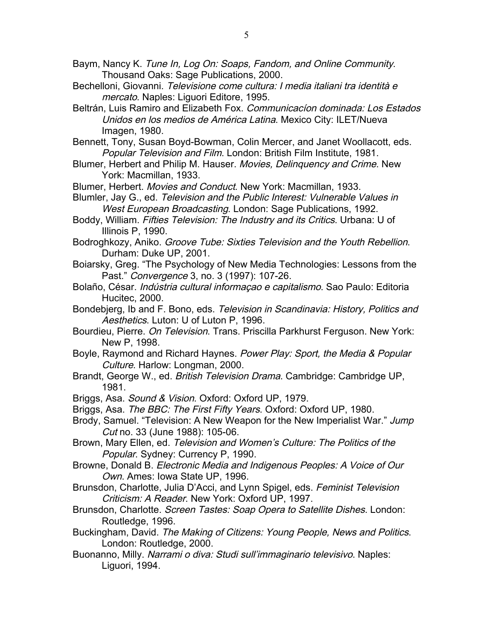Baym, Nancy K. Tune In, Log On: Soaps, Fandom, and Online Community. Thousand Oaks: Sage Publications, 2000.

- Bechelloni, Giovanni. Televisione come cultura: I media italiani tra identità e mercato. Naples: Liguori Editore, 1995.
- Beltrán, Luis Ramiro and Elizabeth Fox. Communicacion dominada: Los Estados Unidos en los medios de América Latina. Mexico City: ILET/Nueva Imagen, 1980.

Bennett, Tony, Susan Boyd-Bowman, Colin Mercer, and Janet Woollacott, eds. Popular Television and Film. London: British Film Institute, 1981.

- Blumer, Herbert and Philip M. Hauser. Movies, Delinquency and Crime. New York: Macmillan, 1933.
- Blumer, Herbert. Movies and Conduct. New York: Macmillan, 1933.

Blumler, Jay G., ed. Television and the Public Interest: Vulnerable Values in West European Broadcasting. London: Sage Publications, 1992.

- Boddy, William. Fifties Television: The Industry and its Critics. Urbana: U of Illinois P, 1990.
- Bodroghkozy, Aniko. Groove Tube: Sixties Television and the Youth Rebellion. Durham: Duke UP, 2001.
- Boiarsky, Greg. "The Psychology of New Media Technologies: Lessons from the Past." Convergence 3, no. 3 (1997): 107-26.
- Bolaño, César. *Indústria cultural informaçao e capitalismo*. Sao Paulo: Editoria Hucitec, 2000.
- Bondebjerg, Ib and F. Bono, eds. Television in Scandinavia: History, Politics and Aesthetics. Luton: U of Luton P, 1996.
- Bourdieu, Pierre. On Television. Trans. Priscilla Parkhurst Ferguson. New York: New P, 1998.
- Boyle, Raymond and Richard Haynes. Power Play: Sport, the Media & Popular Culture. Harlow: Longman, 2000.
- Brandt, George W., ed. British Television Drama. Cambridge: Cambridge UP, 1981.
- Briggs, Asa. Sound & Vision. Oxford: Oxford UP, 1979.
- Briggs, Asa. The BBC: The First Fifty Years. Oxford: Oxford UP, 1980.
- Brody, Samuel. "Television: A New Weapon for the New Imperialist War." Jump Cut no. 33 (June 1988): 105-06.
- Brown, Mary Ellen, ed. Television and Women's Culture: The Politics of the Popular. Sydney: Currency P, 1990.
- Browne, Donald B. Electronic Media and Indigenous Peoples: A Voice of Our Own. Ames: Iowa State UP, 1996.
- Brunsdon, Charlotte, Julia D'Acci, and Lynn Spigel, eds. Feminist Television Criticism: A Reader. New York: Oxford UP, 1997.
- Brunsdon, Charlotte. Screen Tastes: Soap Opera to Satellite Dishes. London: Routledge, 1996.
- Buckingham, David. The Making of Citizens: Young People, News and Politics. London: Routledge, 2000.
- Buonanno, Milly. Narrami o diva: Studi sull'immaginario televisivo. Naples: Liguori, 1994.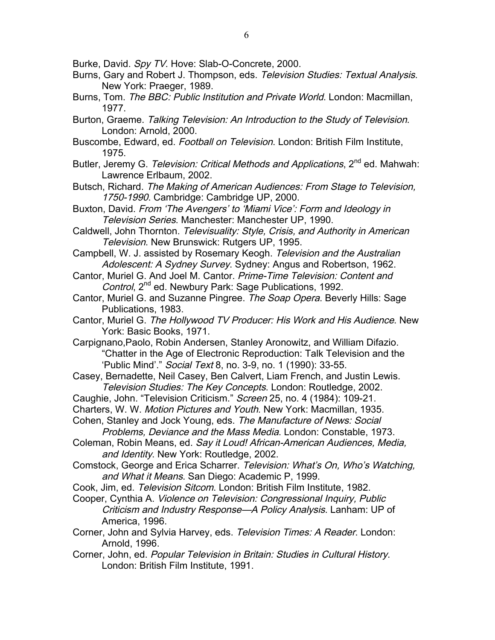- Burke, David. Spy TV. Hove: Slab-O-Concrete, 2000.
- Burns, Gary and Robert J. Thompson, eds. Television Studies: Textual Analysis. New York: Praeger, 1989.
- Burns, Tom. The BBC: Public Institution and Private World. London: Macmillan, 1977.
- Burton, Graeme. Talking Television: An Introduction to the Study of Television. London: Arnold, 2000.
- Buscombe, Edward, ed. Football on Television. London: British Film Institute, 1975.
- Butler, Jeremy G. Television: Critical Methods and Applications, 2<sup>nd</sup> ed. Mahwah: Lawrence Erlbaum, 2002.
- Butsch, Richard. The Making of American Audiences: From Stage to Television, 1750-1990. Cambridge: Cambridge UP, 2000.
- Buxton, David. From 'The Avengers' to 'Miami Vice': Form and Ideology in Television Series. Manchester: Manchester UP, 1990.
- Caldwell, John Thornton. Televisuality: Style, Crisis, and Authority in American Television. New Brunswick: Rutgers UP, 1995.
- Campbell, W. J. assisted by Rosemary Keogh. Television and the Australian Adolescent: A Sydney Survey. Sydney: Angus and Robertson, 1962.
- Cantor, Muriel G. And Joel M. Cantor. Prime-Time Television: Content and Control, 2<sup>nd</sup> ed. Newbury Park: Sage Publications, 1992.
- Cantor, Muriel G. and Suzanne Pingree. The Soap Opera. Beverly Hills: Sage Publications, 1983.
- Cantor, Muriel G. The Hollywood TV Producer: His Work and His Audience. New York: Basic Books, 1971.
- Carpignano,Paolo, Robin Andersen, Stanley Aronowitz, and William Difazio. "Chatter in the Age of Electronic Reproduction: Talk Television and the 'Public Mind'." Social Text 8, no. 3-9, no. 1 (1990): 33-55.
- Casey, Bernadette, Neil Casey, Ben Calvert, Liam French, and Justin Lewis. Television Studies: The Key Concepts. London: Routledge, 2002.
- Caughie, John. "Television Criticism." Screen 25, no. 4 (1984): 109-21.
- Charters, W. W. Motion Pictures and Youth. New York: Macmillan, 1935.
- Cohen, Stanley and Jock Young, eds. The Manufacture of News: Social
- Problems, Deviance and the Mass Media. London: Constable, 1973.
- Coleman, Robin Means, ed. Say it Loud! African-American Audiences, Media, and Identity. New York: Routledge, 2002.
- Comstock, George and Erica Scharrer. Television: What's On, Who's Watching, and What it Means. San Diego: Academic P, 1999.
- Cook, Jim, ed. Television Sitcom. London: British Film Institute, 1982.
- Cooper, Cynthia A. Violence on Television: Congressional Inquiry, Public Criticism and Industry Response—A Policy Analysis. Lanham: UP of America, 1996.
- Corner, John and Sylvia Harvey, eds. Television Times: A Reader. London: Arnold, 1996.
- Corner, John, ed. Popular Television in Britain: Studies in Cultural History. London: British Film Institute, 1991.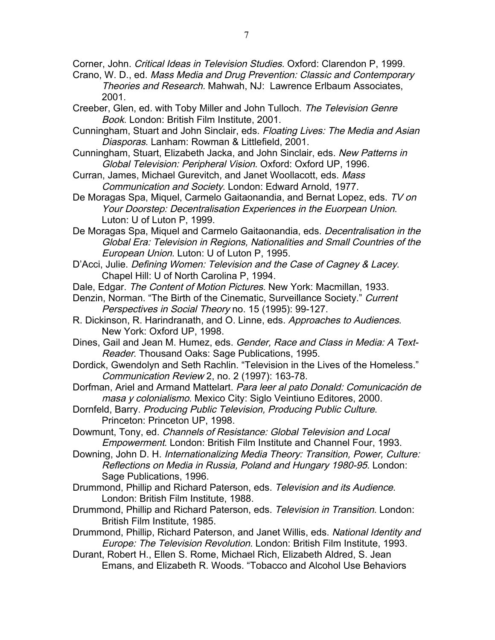Corner, John. Critical Ideas in Television Studies. Oxford: Clarendon P, 1999.

- Crano, W. D., ed. Mass Media and Drug Prevention: Classic and Contemporary Theories and Research. Mahwah, NJ: Lawrence Erlbaum Associates, 2001.
- Creeber, Glen, ed. with Toby Miller and John Tulloch. The Television Genre Book. London: British Film Institute, 2001.
- Cunningham, Stuart and John Sinclair, eds. Floating Lives: The Media and Asian Diasporas. Lanham: Rowman & Littlefield, 2001.
- Cunningham, Stuart, Elizabeth Jacka, and John Sinclair, eds. New Patterns in Global Television: Peripheral Vision. Oxford: Oxford UP, 1996.
- Curran, James, Michael Gurevitch, and Janet Woollacott, eds. Mass Communication and Society. London: Edward Arnold, 1977.
- De Moragas Spa, Miquel, Carmelo Gaitaonandia, and Bernat Lopez, eds. TV on Your Doorstep: Decentralisation Experiences in the Euorpean Union. Luton: U of Luton P, 1999.
- De Moragas Spa, Miquel and Carmelo Gaitaonandia, eds. Decentralisation in the Global Era: Television in Regions, Nationalities and Small Countries of the European Union. Luton: U of Luton P, 1995.
- D'Acci, Julie. Defining Women: Television and the Case of Cagney & Lacey. Chapel Hill: U of North Carolina P, 1994.
- Dale, Edgar. The Content of Motion Pictures. New York: Macmillan, 1933.
- Denzin, Norman. "The Birth of the Cinematic, Surveillance Society." Current Perspectives in Social Theory no. 15 (1995): 99-127.
- R. Dickinson, R. Harindranath, and O. Linne, eds. Approaches to Audiences. New York: Oxford UP, 1998.
- Dines, Gail and Jean M. Humez, eds. Gender, Race and Class in Media: A Text-Reader. Thousand Oaks: Sage Publications, 1995.
- Dordick, Gwendolyn and Seth Rachlin. "Television in the Lives of the Homeless." Communication Review 2, no. 2 (1997): 163-78.
- Dorfman, Ariel and Armand Mattelart. Para leer al pato Donald: Comunicación de masa y colonialismo. Mexico City: Siglo Veintiuno Editores, 2000.
- Dornfeld, Barry. Producing Public Television, Producing Public Culture. Princeton: Princeton UP, 1998.
- Dowmunt, Tony, ed. Channels of Resistance: Global Television and Local Empowerment. London: British Film Institute and Channel Four, 1993.
- Downing, John D. H. Internationalizing Media Theory: Transition, Power, Culture: Reflections on Media in Russia, Poland and Hungary 1980-95. London: Sage Publications, 1996.
- Drummond, Phillip and Richard Paterson, eds. Television and its Audience. London: British Film Institute, 1988.
- Drummond, Phillip and Richard Paterson, eds. Television in Transition. London: British Film Institute, 1985.
- Drummond, Phillip, Richard Paterson, and Janet Willis, eds. National Identity and Europe: The Television Revolution. London: British Film Institute, 1993.
- Durant, Robert H., Ellen S. Rome, Michael Rich, Elizabeth Aldred, S. Jean Emans, and Elizabeth R. Woods. "Tobacco and Alcohol Use Behaviors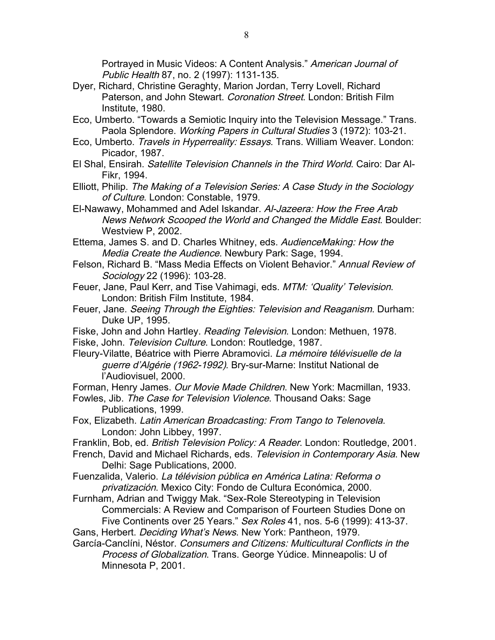Portrayed in Music Videos: A Content Analysis." American Journal of Public Health 87, no. 2 (1997): 1131-135.

- Dyer, Richard, Christine Geraghty, Marion Jordan, Terry Lovell, Richard Paterson, and John Stewart. Coronation Street. London: British Film Institute, 1980.
- Eco, Umberto. "Towards a Semiotic Inquiry into the Television Message." Trans. Paola Splendore. Working Papers in Cultural Studies 3 (1972): 103-21.
- Eco, Umberto. Travels in Hyperreality: Essays. Trans. William Weaver. London: Picador, 1987.
- El Shal, Ensirah. Satellite Television Channels in the Third World. Cairo: Dar Al-Fikr, 1994.

Elliott, Philip. The Making of a Television Series: A Case Study in the Sociology of Culture. London: Constable, 1979.

- El-Nawawy, Mohammed and Adel Iskandar. Al-Jazeera: How the Free Arab News Network Scooped the World and Changed the Middle East. Boulder: Westview P, 2002.
- Ettema, James S. and D. Charles Whitney, eds. AudienceMaking: How the Media Create the Audience. Newbury Park: Sage, 1994.
- Felson, Richard B. "Mass Media Effects on Violent Behavior." Annual Review of Sociology 22 (1996): 103-28.
- Feuer, Jane, Paul Kerr, and Tise Vahimagi, eds. MTM: 'Quality' Television. London: British Film Institute, 1984.
- Feuer, Jane. Seeing Through the Eighties: Television and Reaganism. Durham: Duke UP, 1995.
- Fiske, John and John Hartley. Reading Television. London: Methuen, 1978.
- Fiske, John. Television Culture. London: Routledge, 1987.
- Fleury-Vilatte, Béatrice with Pierre Abramovici. La mémoire télévisuelle de la guerre d'Algérie (1962-1992). Bry-sur-Marne: Institut National de l'Audiovisuel, 2000.

Forman, Henry James. Our Movie Made Children. New York: Macmillan, 1933.

- Fowles, Jib. The Case for Television Violence. Thousand Oaks: Sage Publications, 1999.
- Fox, Elizabeth. Latin American Broadcasting: From Tango to Telenovela. London: John Libbey, 1997.
- Franklin, Bob, ed. British Television Policy: A Reader. London: Routledge, 2001.
- French, David and Michael Richards, eds. Television in Contemporary Asia. New Delhi: Sage Publications, 2000.
- Fuenzalida, Valerio. La télévision pública en América Latina: Reforma o privatización. Mexico City: Fondo de Cultura Económica, 2000.
- Furnham, Adrian and Twiggy Mak. "Sex-Role Stereotyping in Television Commercials: A Review and Comparison of Fourteen Studies Done on Five Continents over 25 Years." Sex Roles 41, nos. 5-6 (1999): 413-37.

Gans, Herbert. Deciding What's News. New York: Pantheon, 1979.

García-Canclíni, Néstor. Consumers and Citizens: Multicultural Conflicts in the Process of Globalization. Trans. George Yúdice. Minneapolis: U of Minnesota P, 2001.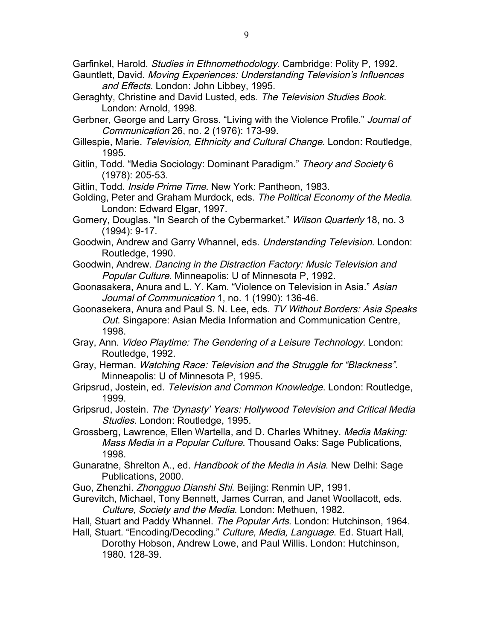Garfinkel, Harold. *Studies in Ethnomethodology*. Cambridge: Polity P, 1992.

- Gauntlett, David. Moving Experiences: Understanding Television's Influences and Effects. London: John Libbey, 1995.
- Geraghty, Christine and David Lusted, eds. The Television Studies Book. London: Arnold, 1998.
- Gerbner, George and Larry Gross. "Living with the Violence Profile." Journal of Communication 26, no. 2 (1976): 173-99.
- Gillespie, Marie. Television, Ethnicity and Cultural Change. London: Routledge, 1995.
- Gitlin, Todd. "Media Sociology: Dominant Paradigm." Theory and Society 6 (1978): 205-53.
- Gitlin, Todd. Inside Prime Time. New York: Pantheon, 1983.
- Golding, Peter and Graham Murdock, eds. The Political Economy of the Media. London: Edward Elgar, 1997.
- Gomery, Douglas. "In Search of the Cybermarket." Wilson Quarterly 18, no. 3 (1994): 9-17.
- Goodwin, Andrew and Garry Whannel, eds. Understanding Television. London: Routledge, 1990.
- Goodwin, Andrew. Dancing in the Distraction Factory: Music Television and Popular Culture. Minneapolis: U of Minnesota P, 1992.
- Goonasakera, Anura and L. Y. Kam. "Violence on Television in Asia." Asian Journal of Communication 1, no. 1 (1990): 136-46.
- Goonasekera, Anura and Paul S. N. Lee, eds. TV Without Borders: Asia Speaks Out. Singapore: Asian Media Information and Communication Centre, 1998.
- Gray, Ann. Video Playtime: The Gendering of a Leisure Technology. London: Routledge, 1992.
- Gray, Herman. Watching Race: Television and the Struggle for "Blackness". Minneapolis: U of Minnesota P, 1995.
- Gripsrud, Jostein, ed. Television and Common Knowledge. London: Routledge, 1999.
- Gripsrud, Jostein. The 'Dynasty' Years: Hollywood Television and Critical Media Studies. London: Routledge, 1995.
- Grossberg, Lawrence, Ellen Wartella, and D. Charles Whitney. Media Making: Mass Media in a Popular Culture. Thousand Oaks: Sage Publications, 1998.
- Gunaratne, Shrelton A., ed. Handbook of the Media in Asia. New Delhi: Sage Publications, 2000.
- Guo, Zhenzhi. Zhongguo Dianshi Shi. Beijing: Renmin UP, 1991.
- Gurevitch, Michael, Tony Bennett, James Curran, and Janet Woollacott, eds. Culture, Society and the Media. London: Methuen, 1982.
- Hall, Stuart and Paddy Whannel. The Popular Arts. London: Hutchinson, 1964.
- Hall, Stuart. "Encoding/Decoding." Culture, Media, Language. Ed. Stuart Hall, Dorothy Hobson, Andrew Lowe, and Paul Willis. London: Hutchinson, 1980. 128-39.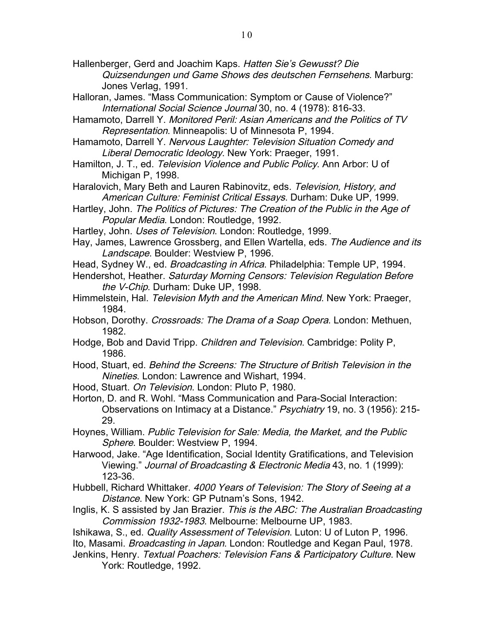Hallenberger, Gerd and Joachim Kaps. Hatten Sie's Gewusst? Die Quizsendungen und Game Shows des deutschen Fernsehens. Marburg: Jones Verlag, 1991.

- Halloran, James. "Mass Communication: Symptom or Cause of Violence?" International Social Science Journal 30, no. 4 (1978): 816-33.
- Hamamoto, Darrell Y. Monitored Peril: Asian Americans and the Politics of TV Representation. Minneapolis: U of Minnesota P, 1994.
- Hamamoto, Darrell Y. Nervous Laughter: Television Situation Comedy and Liberal Democratic Ideology. New York: Praeger, 1991.
- Hamilton, J. T., ed. Television Violence and Public Policy. Ann Arbor: U of Michigan P, 1998.
- Haralovich, Mary Beth and Lauren Rabinovitz, eds. Television, History, and American Culture: Feminist Critical Essays. Durham: Duke UP, 1999.
- Hartley, John. The Politics of Pictures: The Creation of the Public in the Age of Popular Media. London: Routledge, 1992.
- Hartley, John. Uses of Television. London: Routledge, 1999.
- Hay, James, Lawrence Grossberg, and Ellen Wartella, eds. The Audience and its Landscape. Boulder: Westview P, 1996.
- Head, Sydney W., ed. Broadcasting in Africa. Philadelphia: Temple UP, 1994.
- Hendershot, Heather. Saturday Morning Censors: Television Regulation Before the V-Chip. Durham: Duke UP, 1998.
- Himmelstein, Hal. Television Myth and the American Mind. New York: Praeger, 1984.
- Hobson, Dorothy. Crossroads: The Drama of a Soap Opera. London: Methuen, 1982.
- Hodge, Bob and David Tripp. Children and Television. Cambridge: Polity P, 1986.
- Hood, Stuart, ed. Behind the Screens: The Structure of British Television in the Nineties. London: Lawrence and Wishart, 1994.
- Hood, Stuart. On Television. London: Pluto P, 1980.
- Horton, D. and R. Wohl. "Mass Communication and Para-Social Interaction: Observations on Intimacy at a Distance." Psychiatry 19, no. 3 (1956): 215-29.
- Hoynes, William. Public Television for Sale: Media, the Market, and the Public Sphere. Boulder: Westview P, 1994.
- Harwood, Jake. "Age Identification, Social Identity Gratifications, and Television Viewing." Journal of Broadcasting & Electronic Media 43, no. 1 (1999): 123-36.
- Hubbell, Richard Whittaker. 4000 Years of Television: The Story of Seeing at a Distance. New York: GP Putnam's Sons, 1942.
- Inglis, K. S assisted by Jan Brazier. This is the ABC: The Australian Broadcasting Commission 1932-1983. Melbourne: Melbourne UP, 1983.
- Ishikawa, S., ed. Quality Assessment of Television. Luton: U of Luton P, 1996. Ito, Masami. *Broadcasting in Japan*. London: Routledge and Kegan Paul, 1978.
- Jenkins, Henry. Textual Poachers: Television Fans & Participatory Culture. New York: Routledge, 1992.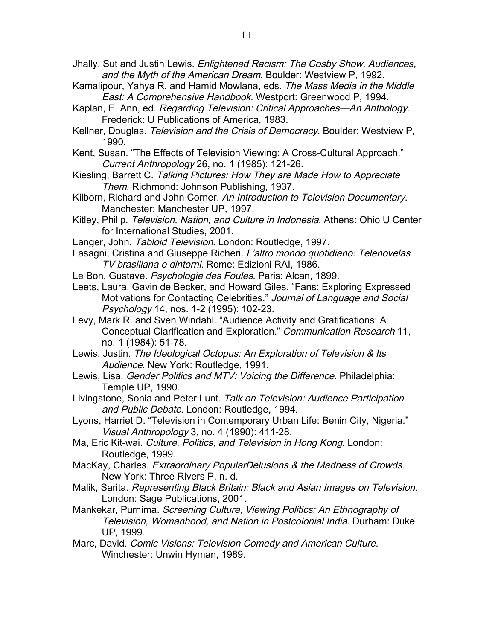- Jhally, Sut and Justin Lewis. Enlightened Racism: The Cosby Show, Audiences, and the Myth of the American Dream. Boulder: Westview P, 1992.
- Kamalipour, Yahya R. and Hamid Mowlana, eds. The Mass Media in the Middle East: A Comprehensive Handbook. Westport: Greenwood P, 1994.
- Kaplan, E. Ann, ed. Regarding Television: Critical Approaches—An Anthology. Frederick: U Publications of America, 1983.
- Kellner, Douglas. Television and the Crisis of Democracy. Boulder: Westview P, 1990.
- Kent, Susan. "The Effects of Television Viewing: A Cross-Cultural Approach." Current Anthropology 26, no. 1 (1985): 121-26.
- Kiesling, Barrett C. Talking Pictures: How They are Made How to Appreciate Them. Richmond: Johnson Publishing, 1937.
- Kilborn, Richard and John Corner. An Introduction to Television Documentary. Manchester: Manchester UP, 1997.
- Kitley, Philip. Television, Nation, and Culture in Indonesia. Athens: Ohio U Center for International Studies, 2001.
- Langer, John. Tabloid Television. London: Routledge, 1997.
- Lasagni, Cristina and Giuseppe Richeri. L'altro mondo quotidiano: Telenovelas TV brasiliana e dintorni. Rome: Edizioni RAI, 1986.
- Le Bon, Gustave. Psychologie des Foules. Paris: Alcan, 1899.
- Leets, Laura, Gavin de Becker, and Howard Giles. "Fans: Exploring Expressed Motivations for Contacting Celebrities." Journal of Language and Social Psychology 14, nos. 1-2 (1995): 102-23.
- Levy, Mark R. and Sven Windahl. "Audience Activity and Gratifications: A Conceptual Clarification and Exploration." Communication Research 11, no. 1 (1984): 51-78.
- Lewis, Justin. The Ideological Octopus: An Exploration of Television & Its Audience. New York: Routledge, 1991.
- Lewis, Lisa. Gender Politics and MTV: Voicing the Difference. Philadelphia: Temple UP, 1990.
- Livingstone, Sonia and Peter Lunt. Talk on Television: Audience Participation and Public Debate. London: Routledge, 1994.
- Lyons, Harriet D. "Television in Contemporary Urban Life: Benin City, Nigeria." Visual Anthropology 3, no. 4 (1990): 411-28.
- Ma, Eric Kit-wai. Culture, Politics, and Television in Hong Kong. London: Routledge, 1999.
- MacKay, Charles. Extraordinary PopularDelusions & the Madness of Crowds. New York: Three Rivers P, n. d.
- Malik, Sarita. Representing Black Britain: Black and Asian Images on Television. London: Sage Publications, 2001.
- Mankekar, Purnima. Screening Culture, Viewing Politics: An Ethnography of Television, Womanhood, and Nation in Postcolonial India. Durham: Duke UP, 1999.
- Marc, David. Comic Visions: Television Comedy and American Culture. Winchester: Unwin Hyman, 1989.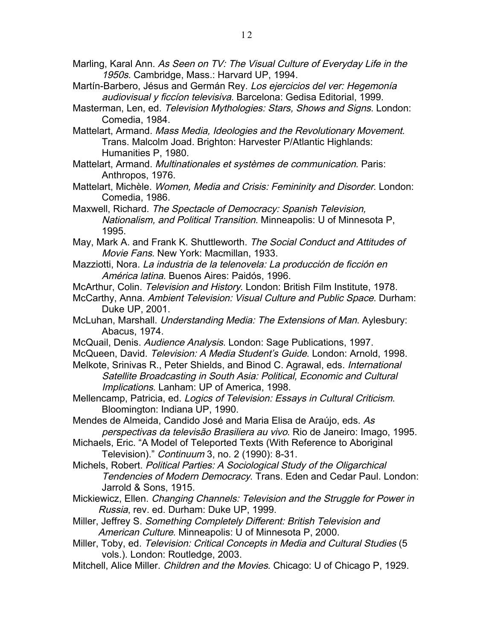Marling, Karal Ann. As Seen on TV: The Visual Culture of Everyday Life in the 1950s. Cambridge, Mass.: Harvard UP, 1994.

Martín-Barbero, Jésus and Germán Rey. Los ejercicios del ver: Hegemonía audiovisual y ficcíon televisiva. Barcelona: Gedisa Editorial, 1999.

Masterman, Len, ed. Television Mythologies: Stars, Shows and Signs. London: Comedia, 1984.

Mattelart, Armand. Mass Media, Ideologies and the Revolutionary Movement. Trans. Malcolm Joad. Brighton: Harvester P/Atlantic Highlands: Humanities P, 1980.

Mattelart, Armand. Multinationales et systèmes de communication. Paris: Anthropos, 1976.

Mattelart, Michèle. Women, Media and Crisis: Femininity and Disorder. London: Comedia, 1986.

Maxwell, Richard. The Spectacle of Democracy: Spanish Television, Nationalism, and Political Transition. Minneapolis: U of Minnesota P, 1995.

May, Mark A. and Frank K. Shuttleworth. The Social Conduct and Attitudes of Movie Fans. New York: Macmillan, 1933.

Mazziotti, Nora. La industria de la telenovela: La producción de ficción en América latina. Buenos Aires: Paidós, 1996.

McArthur, Colin. Television and History. London: British Film Institute, 1978.

McCarthy, Anna. Ambient Television: Visual Culture and Public Space. Durham: Duke UP, 2001.

- McLuhan, Marshall. Understanding Media: The Extensions of Man. Aylesbury: Abacus, 1974.
- McQuail, Denis. Audience Analysis. London: Sage Publications, 1997.

McQueen, David. Television: A Media Student's Guide. London: Arnold, 1998.

Melkote, Srinivas R., Peter Shields, and Binod C. Agrawal, eds. International Satellite Broadcasting in South Asia: Political, Economic and Cultural Implications. Lanham: UP of America, 1998.

Mellencamp, Patricia, ed. Logics of Television: Essays in Cultural Criticism. Bloomington: Indiana UP, 1990.

Mendes de Almeida, Candido José and Maria Elisa de Araújo, eds. As perspectivas da televisão Brasiliera au vivo. Rio de Janeiro: Imago, 1995.

Michaels, Eric. "A Model of Teleported Texts (With Reference to Aboriginal Television)." Continuum 3, no. 2 (1990): 8-31.

Michels, Robert. Political Parties: A Sociological Study of the Oligarchical Tendencies of Modern Democracy. Trans. Eden and Cedar Paul. London: Jarrold & Sons, 1915.

Mickiewicz, Ellen. Changing Channels: Television and the Struggle for Power in Russia, rev. ed. Durham: Duke UP, 1999.

Miller, Jeffrey S. Something Completely Different: British Television and American Culture. Minneapolis: U of Minnesota P, 2000.

Miller, Toby, ed. Television: Critical Concepts in Media and Cultural Studies (5 vols.). London: Routledge, 2003.

Mitchell, Alice Miller. Children and the Movies. Chicago: U of Chicago P, 1929.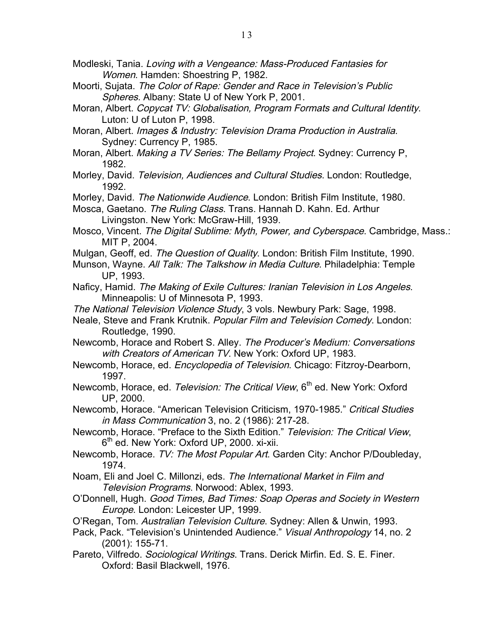- Modleski, Tania. Loving with a Vengeance: Mass-Produced Fantasies for Women. Hamden: Shoestring P, 1982.
- Moorti, Sujata. The Color of Rape: Gender and Race in Television's Public Spheres. Albany: State U of New York P, 2001.
- Moran, Albert. Copycat TV: Globalisation, Program Formats and Cultural Identity. Luton: U of Luton P, 1998.
- Moran, Albert. Images & Industry: Television Drama Production in Australia. Sydney: Currency P, 1985.
- Moran, Albert. Making a TV Series: The Bellamy Project. Sydney: Currency P, 1982.
- Morley, David. Television, Audiences and Cultural Studies. London: Routledge, 1992.
- Morley, David. The Nationwide Audience. London: British Film Institute, 1980.
- Mosca, Gaetano. The Ruling Class. Trans. Hannah D. Kahn. Ed. Arthur Livingston. New York: McGraw-Hill, 1939.
- Mosco, Vincent. The Digital Sublime: Myth, Power, and Cyberspace. Cambridge, Mass.: MIT P, 2004.
- Mulgan, Geoff, ed. *The Question of Quality*. London: British Film Institute, 1990.
- Munson, Wayne. All Talk: The Talkshow in Media Culture. Philadelphia: Temple UP, 1993.
- Naficy, Hamid. The Making of Exile Cultures: Iranian Television in Los Angeles. Minneapolis: U of Minnesota P, 1993.
- The National Television Violence Study, 3 vols. Newbury Park: Sage, 1998.
- Neale, Steve and Frank Krutnik. Popular Film and Television Comedy. London: Routledge, 1990.
- Newcomb, Horace and Robert S. Alley. The Producer's Medium: Conversations with Creators of American TV. New York: Oxford UP, 1983.
- Newcomb, Horace, ed. Encyclopedia of Television. Chicago: Fitzroy-Dearborn, 1997.
- Newcomb, Horace, ed. Television: The Critical View, 6<sup>th</sup> ed. New York: Oxford UP, 2000.
- Newcomb, Horace. "American Television Criticism, 1970-1985." Critical Studies in Mass Communication 3, no. 2 (1986): 217-28.
- Newcomb, Horace. "Preface to the Sixth Edition." Television: The Critical View, 6<sup>th</sup> ed. New York: Oxford UP, 2000. xi-xii.
- Newcomb, Horace. TV: The Most Popular Art. Garden City: Anchor P/Doubleday, 1974.
- Noam, Eli and Joel C. Millonzi, eds. The International Market in Film and Television Programs. Norwood: Ablex, 1993.
- O'Donnell, Hugh. Good Times, Bad Times: Soap Operas and Society in Western Europe. London: Leicester UP, 1999.
- O'Regan, Tom. Australian Television Culture. Sydney: Allen & Unwin, 1993.
- Pack, Pack. "Television's Unintended Audience." Visual Anthropology 14, no. 2 (2001): 155-71.
- Pareto, Vilfredo. Sociological Writings. Trans. Derick Mirfin. Ed. S. E. Finer. Oxford: Basil Blackwell, 1976.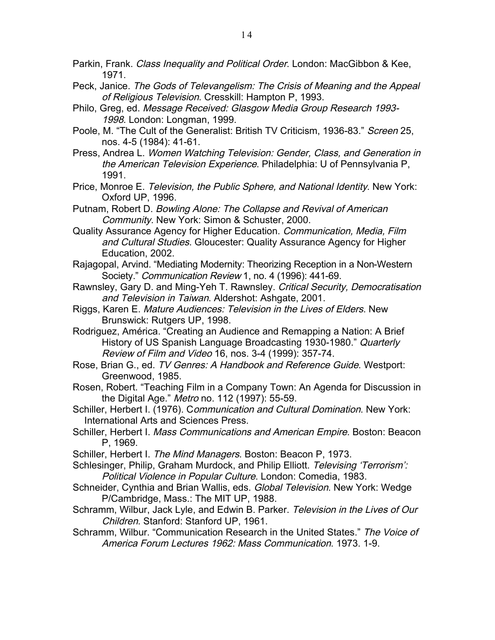- Parkin, Frank. *Class Inequality and Political Order*. London: MacGibbon & Kee, 1971.
- Peck, Janice. The Gods of Televangelism: The Crisis of Meaning and the Appeal of Religious Television. Cresskill: Hampton P, 1993.
- Philo, Greg, ed. Message Received: Glasgow Media Group Research 1993- 1998. London: Longman, 1999.
- Poole, M. "The Cult of the Generalist: British TV Criticism, 1936-83." Screen 25, nos. 4-5 (1984): 41-61.
- Press, Andrea L. Women Watching Television: Gender, Class, and Generation in the American Television Experience. Philadelphia: U of Pennsylvania P, 1991.
- Price, Monroe E. Television, the Public Sphere, and National Identity. New York: Oxford UP, 1996.
- Putnam, Robert D. Bowling Alone: The Collapse and Revival of American Community. New York: Simon & Schuster, 2000.
- Quality Assurance Agency for Higher Education. Communication, Media, Film and Cultural Studies. Gloucester: Quality Assurance Agency for Higher Education, 2002.
- Rajagopal, Arvind. "Mediating Modernity: Theorizing Reception in a Non-Western Society." Communication Review 1, no. 4 (1996): 441-69.
- Rawnsley, Gary D. and Ming-Yeh T. Rawnsley. Critical Security, Democratisation and Television in Taiwan. Aldershot: Ashgate, 2001.
- Riggs, Karen E. Mature Audiences: Television in the Lives of Elders. New Brunswick: Rutgers UP, 1998.
- Rodriguez, América. "Creating an Audience and Remapping a Nation: A Brief History of US Spanish Language Broadcasting 1930-1980." Quarterly Review of Film and Video 16, nos. 3-4 (1999): 357-74.
- Rose, Brian G., ed. TV Genres: A Handbook and Reference Guide. Westport: Greenwood, 1985.
- Rosen, Robert. "Teaching Film in a Company Town: An Agenda for Discussion in the Digital Age." Metro no. 112 (1997): 55-59.
- Schiller, Herbert I. (1976). Communication and Cultural Domination. New York: International Arts and Sciences Press.
- Schiller, Herbert I. Mass Communications and American Empire. Boston: Beacon P, 1969.
- Schiller, Herbert I. The Mind Managers. Boston: Beacon P. 1973.
- Schlesinger, Philip, Graham Murdock, and Philip Elliott. Televising 'Terrorism': Political Violence in Popular Culture. London: Comedia, 1983.
- Schneider, Cynthia and Brian Wallis, eds. Global Television. New York: Wedge P/Cambridge, Mass.: The MIT UP, 1988.
- Schramm, Wilbur, Jack Lyle, and Edwin B. Parker. Television in the Lives of Our Children. Stanford: Stanford UP, 1961.
- Schramm, Wilbur. "Communication Research in the United States." The Voice of America Forum Lectures 1962: Mass Communication. 1973. 1-9.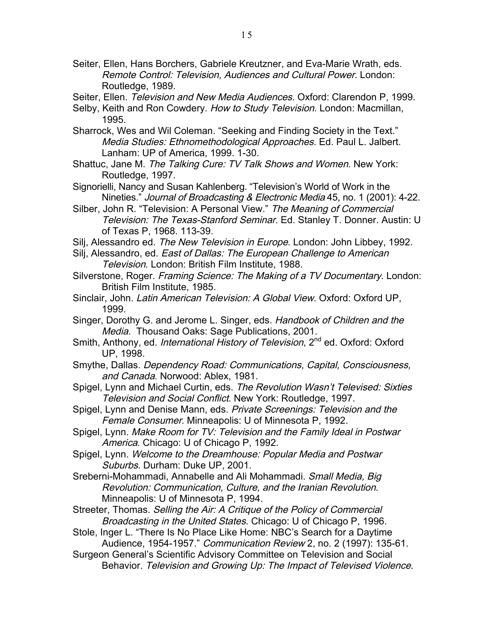- Seiter, Ellen, Hans Borchers, Gabriele Kreutzner, and Eva-Marie Wrath, eds. Remote Control: Television, Audiences and Cultural Power. London: Routledge, 1989.
- Seiter, Ellen. Television and New Media Audiences. Oxford: Clarendon P, 1999.
- Selby, Keith and Ron Cowdery. How to Study Television. London: Macmillan, 1995.
- Sharrock, Wes and Wil Coleman. "Seeking and Finding Society in the Text." Media Studies: Ethnomethodological Approaches. Ed. Paul L. Jalbert. Lanham: UP of America, 1999. 1-30.
- Shattuc, Jane M. The Talking Cure: TV Talk Shows and Women. New York: Routledge, 1997.
- Signorielli, Nancy and Susan Kahlenberg. "Television's World of Work in the Nineties." Journal of Broadcasting & Electronic Media 45, no. 1 (2001): 4-22.
- Silber, John R. "Television: A Personal View." The Meaning of Commercial Television: The Texas-Stanford Seminar. Ed. Stanley T. Donner. Austin: U of Texas P, 1968. 113-39.
- Silj, Alessandro ed. The New Television in Europe. London: John Libbey, 1992.
- Silj, Alessandro, ed. East of Dallas: The European Challenge to American Television. London: British Film Institute, 1988.
- Silverstone, Roger. Framing Science: The Making of a TV Documentary. London: British Film Institute, 1985.
- Sinclair, John. Latin American Television: A Global View. Oxford: Oxford UP, 1999.
- Singer, Dorothy G. and Jerome L. Singer, eds. Handbook of Children and the Media. Thousand Oaks: Sage Publications, 2001.
- Smith, Anthony, ed. International History of Television, 2<sup>nd</sup> ed. Oxford: Oxford UP, 1998.
- Smythe, Dallas. Dependency Road: Communications, Capital, Consciousness, and Canada. Norwood: Ablex, 1981.
- Spigel, Lynn and Michael Curtin, eds. The Revolution Wasn't Televised: Sixties Television and Social Conflict. New York: Routledge, 1997.
- Spigel, Lynn and Denise Mann, eds. Private Screenings: Television and the Female Consumer. Minneapolis: U of Minnesota P, 1992.
- Spigel, Lynn. Make Room for TV: Television and the Family Ideal in Postwar America. Chicago: U of Chicago P, 1992.
- Spigel, Lynn. Welcome to the Dreamhouse: Popular Media and Postwar Suburbs. Durham: Duke UP, 2001.
- Sreberni-Mohammadi, Annabelle and Ali Mohammadi. Small Media, Big Revolution: Communication, Culture, and the Iranian Revolution. Minneapolis: U of Minnesota P, 1994.
- Streeter, Thomas. Selling the Air: A Critique of the Policy of Commercial Broadcasting in the United States. Chicago: U of Chicago P, 1996.
- Stole, Inger L. "There Is No Place Like Home: NBC's Search for a Daytime Audience, 1954-1957." Communication Review 2, no. 2 (1997): 135-61.
- Surgeon General's Scientific Advisory Committee on Television and Social Behavior. Television and Growing Up: The Impact of Televised Violence.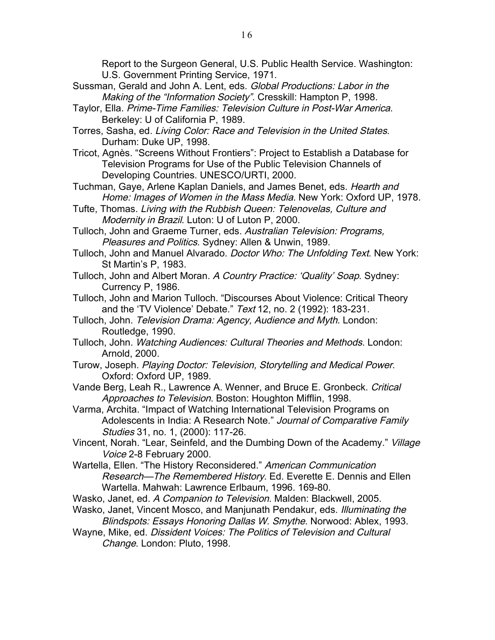Report to the Surgeon General, U.S. Public Health Service. Washington: U.S. Government Printing Service, 1971.

- Sussman, Gerald and John A. Lent, eds. Global Productions: Labor in the Making of the "Information Society". Cresskill: Hampton P, 1998.
- Taylor, Ella. Prime-Time Families: Television Culture in Post-War America. Berkeley: U of California P, 1989.
- Torres, Sasha, ed. Living Color: Race and Television in the United States. Durham: Duke UP, 1998.
- Tricot, Agnès. "Screens Without Frontiers": Project to Establish a Database for Television Programs for Use of the Public Television Channels of Developing Countries. UNESCO/URTI, 2000.
- Tuchman, Gaye, Arlene Kaplan Daniels, and James Benet, eds. Hearth and Home: Images of Women in the Mass Media. New York: Oxford UP, 1978.
- Tufte, Thomas. Living with the Rubbish Queen: Telenovelas, Culture and Modernity in Brazil. Luton: U of Luton P, 2000.
- Tulloch, John and Graeme Turner, eds. Australian Television: Programs, Pleasures and Politics. Sydney: Allen & Unwin, 1989.
- Tulloch, John and Manuel Alvarado. Doctor Who: The Unfolding Text. New York: St Martin's P, 1983.
- Tulloch, John and Albert Moran. A Country Practice: 'Quality' Soap. Sydney: Currency P, 1986.
- Tulloch, John and Marion Tulloch. "Discourses About Violence: Critical Theory and the 'TV Violence' Debate." Text 12, no. 2 (1992): 183-231.
- Tulloch, John. Television Drama: Agency, Audience and Myth. London: Routledge, 1990.
- Tulloch, John. Watching Audiences: Cultural Theories and Methods. London: Arnold, 2000.
- Turow, Joseph. Playing Doctor: Television, Storytelling and Medical Power. Oxford: Oxford UP, 1989.
- Vande Berg, Leah R., Lawrence A. Wenner, and Bruce E. Gronbeck. Critical Approaches to Television. Boston: Houghton Mifflin, 1998.
- Varma, Archita. "Impact of Watching International Television Programs on Adolescents in India: A Research Note." Journal of Comparative Family Studies 31, no. 1, (2000): 117-26.
- Vincent, Norah. "Lear, Seinfeld, and the Dumbing Down of the Academy." Village Voice 2-8 February 2000.
- Wartella, Ellen. "The History Reconsidered." American Communication Research—The Remembered History. Ed. Everette E. Dennis and Ellen Wartella. Mahwah: Lawrence Erlbaum, 1996. 169-80.
- Wasko, Janet, ed. A Companion to Television. Malden: Blackwell, 2005.
- Wasko, Janet, Vincent Mosco, and Manjunath Pendakur, eds. Illuminating the Blindspots: Essays Honoring Dallas W. Smythe. Norwood: Ablex, 1993.
- Wayne, Mike, ed. Dissident Voices: The Politics of Television and Cultural Change. London: Pluto, 1998.